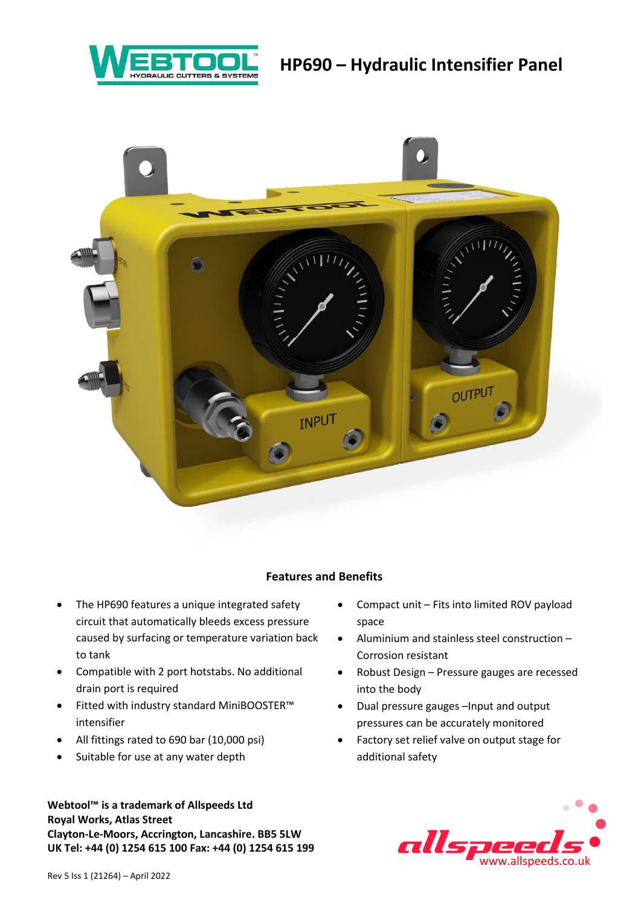# **HP690 – Hydraulic Intensifier Panel**





#### **Features and Benefits**

- The HP690 features a unique integrated safety circuit that automatically bleeds excess pressure caused by surfacing or temperature variation back to tank
- Compatible with 2 port hotstabs. No additional drain port is required
- Fitted with industry standard MiniBOOSTER™ intensifier
- All fittings rated to 690 bar (10,000 psi)
- Suitable for use at any water depth

**Webtool™ is a trademark of Allspeeds Ltd Royal Works, Atlas Street Clayton-Le-Moors, Accrington, Lancashire. BB5 5LW UK Tel: +44 (0) 1254 615 100 Fax: +44 (0) 1254 615 199**

- Compact unit Fits into limited ROV payload space
- Aluminium and stainless steel construction Corrosion resistant
- Robust Design Pressure gauges are recessed into the body
- Dual pressure gauges –Input and output pressures can be accurately monitored
- Factory set relief valve on output stage for additional safety